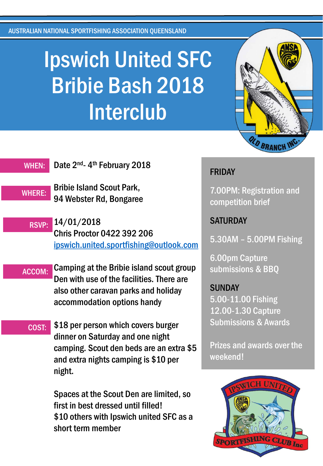AUSTRALIAN NATIONAL SPORTFISHING ASSOCIATION QUEENSLAND

# Ipswich United SFC Bribie Bash 2018 **Interclub**



Bribie Island Scout Park, 94 Webster Rd, Bongaree WHERE:

- 14/01/2018 Chris Proctor 0422 392 206 [ipswich.united.sportfishing@outlook.com](mailto:ipswich.united.sportfishing@outlook.com) RSVP:
- Camping at the Bribie island scout group Den with use of the facilities. There are also other caravan parks and holiday accommodation options handy ACCOM:
- \$18 per person which covers burger dinner on Saturday and one night camping. Scout den beds are an extra \$5 and extra nights camping is \$10 per night. COST:

Spaces at the Scout Den are limited, so first in best dressed until filled! \$10 others with Ipswich united SFC as a short term member

#### FRIDAY

7.00PM: Registration and competition brief

**SATURDAY** 

5.30AM – 5.00PM Fishing

6.00pm Capture submissions & BBQ

**SUNDAY** 5.00-11.00 Fishing 12.00-1.30 Capture Submissions & Awards

Prizes and awards over the weekend!

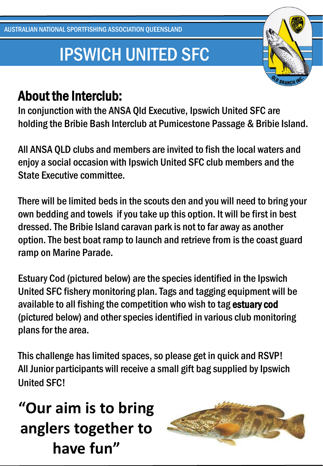### IPSWICH UNITED SFC



### About the Interclub:

In conjunction with the ANSA Qld Executive, Ipswich United SFC are holding the Bribie Bash Interclub at Pumicestone Passage & Bribie Island.

All ANSA QLD clubs and members are invited to fish the local waters and enjoy a social occasion with Ipswich United SFC club members and the State Executive committee.

There will be limited beds in the scouts den and you will need to bring your own bedding and towels if you take up this option. It will be first in best dressed. The Bribie Island caravan park is not to far away as another option. The best boat ramp to launch and retrieve from is the coast guard ramp on Marine Parade.

Estuary Cod (pictured below) are the species identified in the Ipswich United SFC fishery monitoring plan. Tags and tagging equipment will be available to all fishing the competition who wish to tag estuary cod (pictured below) and other species identified in various club monitoring plans for the area.

This challenge has limited spaces, so please get in quick and RSVP! All Junior participants will receive a small gift bag supplied by Ipswich United SFC!

### **"Our aim is to bring anglers together to have fun"**